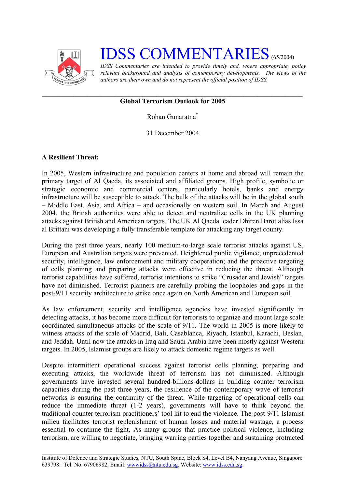

# **IDSS COMMENTARIES** (65/2004)

*IDSS Commentaries are intended to provide timely and, where appropriate, policy relevant background and analysis of contemporary developments. The views of the authors are their own and do not represent the official position of IDSS.* 

## **Global Terrorism Outlook for 2005**

Rohan Gunaratn[a\\*](#page-5-0)

31 December 2004

## **A Resilient Threat:**

In 2005, Western infrastructure and population centers at home and abroad will remain the primary target of Al Qaeda, its associated and affiliated groups. High profile, symbolic or strategic economic and commercial centers, particularly hotels, banks and energy infrastructure will be susceptible to attack. The bulk of the attacks will be in the global south – Middle East, Asia, and Africa – and occasionally on western soil. In March and August 2004, the British authorities were able to detect and neutralize cells in the UK planning attacks against British and American targets. The UK Al Qaeda leader Dhiren Barot alias Issa al Brittani was developing a fully transferable template for attacking any target county.

During the past three years, nearly 100 medium-to-large scale terrorist attacks against US, European and Australian targets were prevented. Heightened public vigilance; unprecedented security, intelligence, law enforcement and military cooperation; and the proactive targeting of cells planning and preparing attacks were effective in reducing the threat. Although terrorist capabilities have suffered, terrorist intentions to strike "Crusader and Jewish" targets have not diminished. Terrorist planners are carefully probing the loopholes and gaps in the post-9/11 security architecture to strike once again on North American and European soil.

As law enforcement, security and intelligence agencies have invested significantly in detecting attacks, it has become more difficult for terrorists to organize and mount large scale coordinated simultaneous attacks of the scale of 9/11. The world in 2005 is more likely to witness attacks of the scale of Madrid, Bali, Casablanca, Riyadh, Istanbul, Karachi, Beslan, and Jeddah. Until now the attacks in Iraq and Saudi Arabia have been mostly against Western targets. In 2005, Islamist groups are likely to attack domestic regime targets as well.

Despite intermittent operational success against terrorist cells planning, preparing and executing attacks, the worldwide threat of terrorism has not diminished. Although governments have invested several hundred-billions-dollars in building counter terrorism capacities during the past three years, the resilience of the contemporary wave of terrorist networks is ensuring the continuity of the threat. While targeting of operational cells can reduce the immediate threat (1-2 years), governments will have to think beyond the traditional counter terrorism practitioners' tool kit to end the violence. The post-9/11 Islamist milieu facilitates terrorist replenishment of human losses and material wastage, a process essential to continue the fight. As many groups that practice political violence, including terrorism, are willing to negotiate, bringing warring parties together and sustaining protracted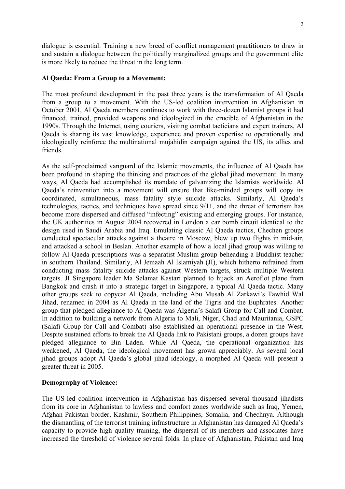dialogue is essential. Training a new breed of conflict management practitioners to draw in and sustain a dialogue between the politically marginalized groups and the government elite is more likely to reduce the threat in the long term.

### **Al Qaeda: From a Group to a Movement:**

The most profound development in the past three years is the transformation of Al Qaeda from a group to a movement. With the US-led coalition intervention in Afghanistan in October 2001, Al Qaeda members continues to work with three-dozen Islamist groups it had financed, trained, provided weapons and ideologized in the crucible of Afghanistan in the 1990s. Through the Internet, using couriers, visiting combat tacticians and expert trainers, Al Qaeda is sharing its vast knowledge, experience and proven expertise to operationally and ideologically reinforce the multinational mujahidin campaign against the US, its allies and friends.

As the self-proclaimed vanguard of the Islamic movements, the influence of Al Qaeda has been profound in shaping the thinking and practices of the global jihad movement. In many ways, Al Qaeda had accomplished its mandate of galvanizing the Islamists worldwide. Al Qaeda's reinvention into a movement will ensure that like-minded groups will copy its coordinated, simultaneous, mass fatality style suicide attacks. Similarly, Al Qaeda's technologies, tactics, and techniques have spread since 9/11, and the threat of terrorism has become more dispersed and diffused "infecting" existing and emerging groups. For instance, the UK authorities in August 2004 recovered in London a car bomb circuit identical to the design used in Saudi Arabia and Iraq. Emulating classic Al Qaeda tactics, Chechen groups conducted spectacular attacks against a theatre in Moscow, blew up two flights in mid-air, and attacked a school in Beslan. Another example of how a local jihad group was willing to follow Al Qaeda prescriptions was a separatist Muslim group beheading a Buddhist teacher in southern Thailand. Similarly, Al Jemaah Al Islamiyah (JI), which hitherto refrained from conducting mass fatality suicide attacks against Western targets, struck multiple Western targets. JI Singapore leader Ma Selamat Kastari planned to hijack an Aeroflot plane from Bangkok and crash it into a strategic target in Singapore, a typical Al Qaeda tactic. Many other groups seek to copycat Al Qaeda, including Abu Musab Al Zarkawi's Tawhid Wal Jihad, renamed in 2004 as Al Qaeda in the land of the Tigris and the Euphrates. Another group that pledged allegiance to Al Qaeda was Algeria's Salafi Group for Call and Combat. In addition to building a network from Algeria to Mali, Niger, Chad and Mauritania, GSPC (Salafi Group for Call and Combat) also established an operational presence in the West. Despite sustained efforts to break the Al Qaeda link to Pakistani groups, a dozen groups have pledged allegiance to Bin Laden. While Al Qaeda, the operational organization has weakened, Al Qaeda, the ideological movement has grown appreciably. As several local jihad groups adopt Al Qaeda's global jihad ideology, a morphed Al Qaeda will present a greater threat in 2005.

## **Demography of Violence:**

The US-led coalition intervention in Afghanistan has dispersed several thousand jihadists from its core in Afghanistan to lawless and comfort zones worldwide such as Iraq, Yemen, Afghan-Pakistan border, Kashmir, Southern Philippines, Somalia, and Chechnya. Although the dismantling of the terrorist training infrastructure in Afghanistan has damaged Al Qaeda's capacity to provide high quality training, the dispersal of its members and associates have increased the threshold of violence several folds. In place of Afghanistan, Pakistan and Iraq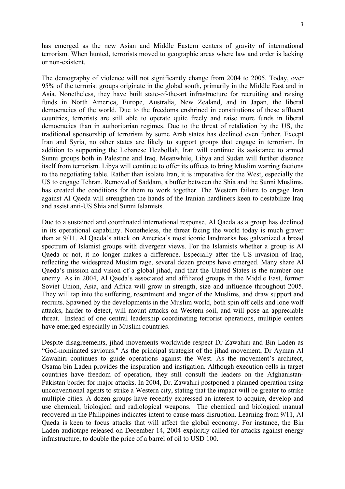has emerged as the new Asian and Middle Eastern centers of gravity of international terrorism. When hunted, terrorists moved to geographic areas where law and order is lacking or non-existent.

The demography of violence will not significantly change from 2004 to 2005. Today, over 95% of the terrorist groups originate in the global south, primarily in the Middle East and in Asia. Nonetheless, they have built state-of-the-art infrastructure for recruiting and raising funds in North America, Europe, Australia, New Zealand, and in Japan, the liberal democracies of the world. Due to the freedoms enshrined in constitutions of these affluent countries, terrorists are still able to operate quite freely and raise more funds in liberal democracies than in authoritarian regimes. Due to the threat of retaliation by the US, the traditional sponsorship of terrorism by some Arab states has declined even further. Except Iran and Syria, no other states are likely to support groups that engage in terrorism. In addition to supporting the Lebanese Hezbollah, Iran will continue its assistance to armed Sunni groups both in Palestine and Iraq. Meanwhile, Libya and Sudan will further distance itself from terrorism. Libya will continue to offer its offices to bring Muslim warring factions to the negotiating table. Rather than isolate Iran, it is imperative for the West, especially the US to engage Tehran. Removal of Saddam, a buffer between the Shia and the Sunni Muslims, has created the conditions for them to work together. The Western failure to engage Iran against Al Qaeda will strengthen the hands of the Iranian hardliners keen to destabilize Iraq and assist anti-US Shia and Sunni Islamists.

Due to a sustained and coordinated international response, Al Qaeda as a group has declined in its operational capability. Nonetheless, the threat facing the world today is much graver than at 9/11. Al Qaeda's attack on America's most iconic landmarks has galvanized a broad spectrum of Islamist groups with divergent views. For the Islamists whether a group is Al Qaeda or not, it no longer makes a difference. Especially after the US invasion of Iraq, reflecting the widespread Muslim rage, several dozen groups have emerged. Many share Al Qaeda's mission and vision of a global jihad, and that the United States is the number one enemy. As in 2004, Al Qaeda's associated and affiliated groups in the Middle East, former Soviet Union, Asia, and Africa will grow in strength, size and influence throughout 2005. They will tap into the suffering, resentment and anger of the Muslims, and draw support and recruits. Spawned by the developments in the Muslim world, both spin off cells and lone wolf attacks, harder to detect, will mount attacks on Western soil, and will pose an appreciable threat. Instead of one central leadership coordinating terrorist operations, multiple centers have emerged especially in Muslim countries.

Despite disagreements, jihad movements worldwide respect Dr Zawahiri and Bin Laden as "God-nominated saviours." As the principal strategist of the jihad movement, Dr Ayman Al Zawahiri continues to guide operations against the West. As the movement's architect, Osama bin Laden provides the inspiration and instigation. Although execution cells in target countries have freedom of operation, they still consult the leaders on the Afghanistan-Pakistan border for major attacks. In 2004, Dr. Zawahiri postponed a planned operation using unconventional agents to strike a Western city, stating that the impact will be greater to strike multiple cities. A dozen groups have recently expressed an interest to acquire, develop and use chemical, biological and radiological weapons. The chemical and biological manual recovered in the Philippines indicates intent to cause mass disruption. Learning from 9/11, Al Qaeda is keen to focus attacks that will affect the global economy. For instance, the Bin Laden audiotape released on December 14, 2004 explicitly called for attacks against energy infrastructure, to double the price of a barrel of oil to USD 100.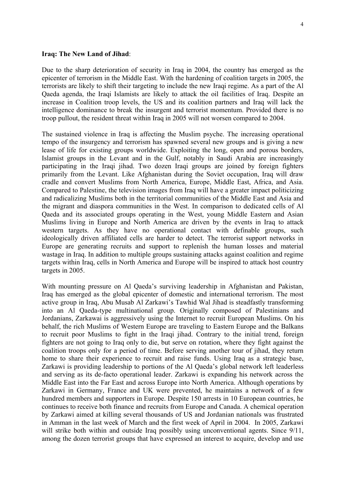#### **Iraq: The New Land of Jihad**:

Due to the sharp deterioration of security in Iraq in 2004, the country has emerged as the epicenter of terrorism in the Middle East. With the hardening of coalition targets in 2005, the terrorists are likely to shift their targeting to include the new Iraqi regime. As a part of the Al Qaeda agenda, the Iraqi Islamists are likely to attack the oil facilities of Iraq. Despite an increase in Coalition troop levels, the US and its coalition partners and Iraq will lack the intelligence dominance to break the insurgent and terrorist momentum. Provided there is no troop pullout, the resident threat within Iraq in 2005 will not worsen compared to 2004.

The sustained violence in Iraq is affecting the Muslim psyche. The increasing operational tempo of the insurgency and terrorism has spawned several new groups and is giving a new lease of life for existing groups worldwide. Exploiting the long, open and porous borders, Islamist groups in the Levant and in the Gulf, notably in Saudi Arabia are increasingly participating in the Iraqi jihad. Two dozen Iraqi groups are joined by foreign fighters primarily from the Levant. Like Afghanistan during the Soviet occupation, Iraq will draw cradle and convert Muslims from North America, Europe, Middle East, Africa, and Asia. Compared to Palestine, the television images from Iraq will have a greater impact politicizing and radicalizing Muslims both in the territorial communities of the Middle East and Asia and the migrant and diaspora communities in the West. In comparison to dedicated cells of Al Qaeda and its associated groups operating in the West, young Middle Eastern and Asian Muslims living in Europe and North America are driven by the events in Iraq to attack western targets. As they have no operational contact with definable groups, such ideologically driven affiliated cells are harder to detect. The terrorist support networks in Europe are generating recruits and support to replenish the human losses and material wastage in Iraq. In addition to multiple groups sustaining attacks against coalition and regime targets within Iraq, cells in North America and Europe will be inspired to attack host country targets in 2005.

With mounting pressure on Al Qaeda's surviving leadership in Afghanistan and Pakistan, Iraq has emerged as the global epicenter of domestic and international terrorism. The most active group in Iraq, Abu Musab Al Zarkawi's Tawhid Wal Jihad is steadfastly transforming into an Al Qaeda-type multinational group. Originally composed of Palestinians and Jordanians, Zarkawai is aggressively using the Internet to recruit European Muslims. On his behalf, the rich Muslims of Western Europe are traveling to Eastern Europe and the Balkans to recruit poor Muslims to fight in the Iraqi jihad. Contrary to the initial trend, foreign fighters are not going to Iraq only to die, but serve on rotation, where they fight against the coalition troops only for a period of time. Before serving another tour of jihad, they return home to share their experience to recruit and raise funds. Using Iraq as a strategic base, Zarkawi is providing leadership to portions of the Al Qaeda's global network left leaderless and serving as its de-facto operational leader. Zarkawi is expanding his network across the Middle East into the Far East and across Europe into North America. Although operations by Zarkawi in Germany, France and UK were prevented, he maintains a network of a few hundred members and supporters in Europe. Despite 150 arrests in 10 European countries, he continues to receive both finance and recruits from Europe and Canada. A chemical operation by Zarkawi aimed at killing several thousands of US and Jordanian nationals was frustrated in Amman in the last week of March and the first week of April in 2004. In 2005, Zarkawi will strike both within and outside Iraq possibly using unconventional agents. Since 9/11, among the dozen terrorist groups that have expressed an interest to acquire, develop and use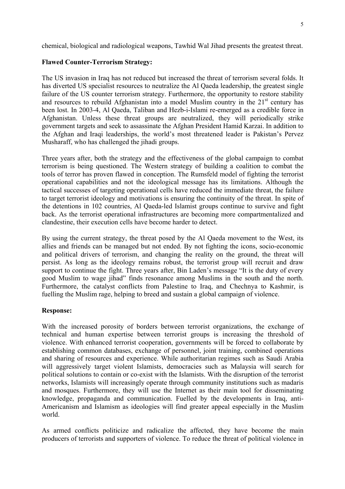chemical, biological and radiological weapons, Tawhid Wal Jihad presents the greatest threat.

### **Flawed Counter-Terrorism Strategy:**

The US invasion in Iraq has not reduced but increased the threat of terrorism several folds. It has diverted US specialist resources to neutralize the Al Qaeda leadership, the greatest single failure of the US counter terrorism strategy. Furthermore, the opportunity to restore stability and resources to rebuild Afghanistan into a model Muslim country in the  $21<sup>st</sup>$  century has been lost. In 2003-4, Al Qaeda, Taliban and Hezb-i-Islami re-emerged as a credible force in Afghanistan. Unless these threat groups are neutralized, they will periodically strike government targets and seek to assassinate the Afghan President Hamid Karzai. In addition to the Afghan and Iraqi leaderships, the world's most threatened leader is Pakistan's Pervez Musharaff, who has challenged the jihadi groups.

Three years after, both the strategy and the effectiveness of the global campaign to combat terrorism is being questioned. The Western strategy of building a coalition to combat the tools of terror has proven flawed in conception. The Rumsfeld model of fighting the terrorist operational capabilities and not the ideological message has its limitations. Although the tactical successes of targeting operational cells have reduced the immediate threat, the failure to target terrorist ideology and motivations is ensuring the continuity of the threat. In spite of the detentions in 102 countries, Al Qaeda-led Islamist groups continue to survive and fight back. As the terrorist operational infrastructures are becoming more compartmentalized and clandestine, their execution cells have become harder to detect.

By using the current strategy, the threat posed by the Al Qaeda movement to the West, its allies and friends can be managed but not ended. By not fighting the icons, socio-economic and political drivers of terrorism, and changing the reality on the ground, the threat will persist. As long as the ideology remains robust, the terrorist group will recruit and draw support to continue the fight. Three years after, Bin Laden's message "It is the duty of every good Muslim to wage jihad" finds resonance among Muslims in the south and the north. Furthermore, the catalyst conflicts from Palestine to Iraq, and Chechnya to Kashmir, is fuelling the Muslim rage, helping to breed and sustain a global campaign of violence.

## **Response:**

With the increased porosity of borders between terrorist organizations, the exchange of technical and human expertise between terrorist groups is increasing the threshold of violence. With enhanced terrorist cooperation, governments will be forced to collaborate by establishing common databases, exchange of personnel, joint training, combined operations and sharing of resources and experience. While authoritarian regimes such as Saudi Arabia will aggressively target violent Islamists, democracies such as Malaysia will search for political solutions to contain or co-exist with the Islamists. With the disruption of the terrorist networks, Islamists will increasingly operate through community institutions such as madaris and mosques. Furthermore, they will use the Internet as their main tool for disseminating knowledge, propaganda and communication. Fuelled by the developments in Iraq, anti-Americanism and Islamism as ideologies will find greater appeal especially in the Muslim world.

As armed conflicts politicize and radicalize the affected, they have become the main producers of terrorists and supporters of violence. To reduce the threat of political violence in